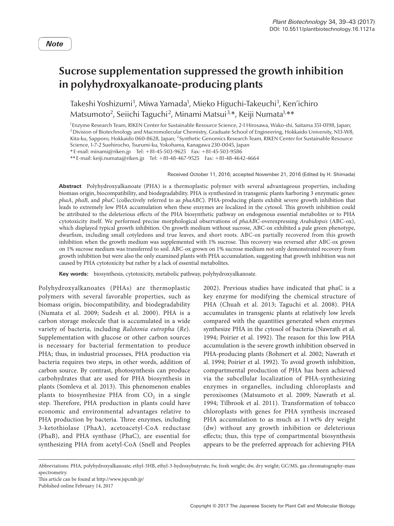## **Sucrose supplementation suppressed the growth inhibition in polyhydroxyalkanoate-producing plants**

Takeshi Yoshizumi<sup>1</sup>, Miwa Yamada<sup>1</sup>, Mieko Higuchi-Takeuchi<sup>1</sup>, Ken'ichiro Matsumoto<sup>2</sup>, Seiichi Taguchi<sup>2</sup>, Minami Matsui<sup>3,</sup>\*, Keiji Numata<sup>1,</sup>\*\*

1 Enzyme Research Team, RIKEN Center for Sustainable Resource Science, 2-1 Hirosawa, Wako-shi, Saitama 351-0198, Japan; 2Division of Biotechnology and Macromolecular Chemistry, Graduate School of Engineering, Hokkaido University, N13-W8, Kita-ku, Sapporo, Hokkaido 060-8628, Japan; 3 Synthetic Genomics Research Team, RIKEN Center for Sustainable Resource Science, 1-7-2 Suehirocho, Tsurumi-ku, Yokohama, Kanagawa 230-0045, Japan

\*E-mail: minami@riken.jp Tel: +81-45-503-9625 Fax: +81-45-503-9586

\*\*E-mail: keiji.numata@riken.jp Tel: +81-48-467-9525 Fax: +81-48-4642-4664

Received October 11, 2016; accepted November 21, 2016 (Edited by H. Shimada)

**Abstract** Polyhydroxyalkanoate (PHA) is a thermoplastic polymer with several advantageous properties, including biomass origin, biocompatibility, and biodegradability. PHA is synthesized in transgenic plants harboring 3 enzymatic genes: *phaA*, *phaB*, and *phaC* (collectively referred to as *phaABC*). PHA-producing plants exhibit severe growth inhibition that leads to extremely low PHA accumulation when these enzymes are localized in the cytosol. This growth inhibition could be attributed to the deleterious effects of the PHA biosynthetic pathway on endogenous essential metabolites or to PHA cytotoxicity itself. We performed precise morphological observations of *phaABC*-overexpressing *Arabidopsis* (ABC-ox), which displayed typical growth inhibition. On growth medium without sucrose, ABC-ox exhibited a pale green phenotype, dwarfism, including small cotyledons and true leaves, and short roots. ABC-ox partially recovered from this growth inhibition when the growth medium was supplemented with 1% sucrose. This recovery was reversed after ABC-ox grown on 1% sucrose medium was transferred to soil. ABC-ox grown on 1% sucrose medium not only demonstrated recovery from growth inhibition but were also the only examined plants with PHA accumulation, suggesting that growth inhibition was not caused by PHA cytotoxicity but rather by a lack of essential metabolites.

**Key words:** biosynthesis, cytotoxicity, metabolic pathway, polyhydroxyalkanoate.

Polyhydroxyalkanoates (PHAs) are thermoplastic polymers with several favorable properties, such as biomass origin, biocompatibility, and biodegradability (Numata et al. 2009; Sudesh et al. 2000). PHA is a carbon storage molecule that is accumulated in a wide variety of bacteria, including *Ralstonia eutropha* (*Re*). Supplementation with glucose or other carbon sources is necessary for bacterial fermentation to produce PHA; thus, in industrial processes, PHA production via bacteria requires two steps, in other words, addition of carbon source. By contrast, photosynthesis can produce carbohydrates that are used for PHA biosynthesis in plants (Somleva et al. 2013). This phenomenon enables plants to biosynthesize PHA from  $CO<sub>2</sub>$  in a single step. Therefore, PHA production in plants could have economic and environmental advantages relative to PHA production by bacteria. Three enzymes, including 3-ketothiolase (PhaA), acetoacetyl-CoA reductase (PhaB), and PHA synthase (PhaC), are essential for synthesizing PHA from acetyl-CoA (Snell and Peoples

2002). Previous studies have indicated that phaC is a key enzyme for modifying the chemical structure of PHA (Chuah et al. 2013; Taguchi et al. 2008). PHA accumulates in transgenic plants at relatively low levels compared with the quantities generated when enzymes synthesize PHA in the cytosol of bacteria (Nawrath et al. 1994; Poirier et al. 1992). The reason for this low PHA accumulation is the severe growth inhibition observed in PHA-producing plants (Bohmert et al. 2002; Nawrath et al. 1994; Poirier et al. 1992). To avoid growth inhibition, compartmental production of PHA has been achieved via the subcellular localization of PHA-synthesizing enzymes in organelles, including chloroplasts and peroxisomes (Matsumoto et al. 2009; Nawrath et al. 1994; Tilbrook et al. 2011). Transformation of tobacco chloroplasts with genes for PHA synthesis increased PHA accumulation to as much as 11wt% dry weight (dw) without any growth inhibition or deleterious effects; thus, this type of compartmental biosynthesis appears to be the preferred approach for achieving PHA

Abbreviations: PHA, polyhydroxyalkanoate; ethyl-3HB, ethyl-3-hydroxybutyrate; fw, fresh weight; dw, dry weight; GC/MS, gas chromatography-mass spectrometry.

This article can be found at http://www.jspcmb.jp/

Published online February 14, 2017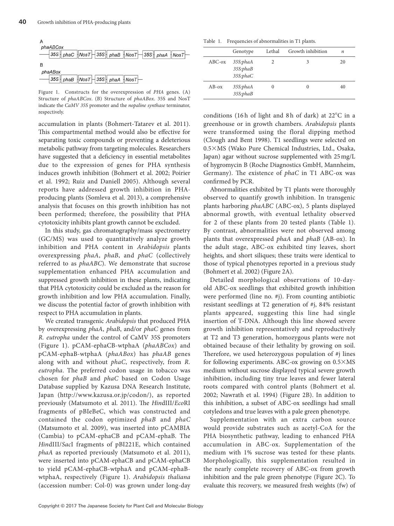

Figure 1. Constructs for the overexpression of *PHA* genes. (A) Structure of *phaABCox*. (B) Structure of *phaABox*. 35S and NosT indicate the *CaMV 35S* promoter and the *nopaline synthase* terminator, respectively.

accumulation in plants (Bohmert-Tatarev et al. 2011). This compartmental method would also be effective for separating toxic compounds or preventing a deleterious metabolic pathway from targeting molecules. Researchers have suggested that a deficiency in essential metabolites due to the expression of genes for PHA synthesis induces growth inhibition (Bohmert et al. 2002; Poirier et al. 1992; Ruiz and Daniell 2005). Although several reports have addressed growth inhibition in PHAproducing plants (Somleva et al. 2013), a comprehensive analysis that focuses on this growth inhibition has not been performed; therefore, the possibility that PHA cytotoxicity inhibits plant growth cannot be excluded.

In this study, gas chromatography/mass spectrometry (GC/MS) was used to quantitatively analyze growth inhibition and PHA content in *Arabidopsis* plants overexpressing *phaA*, *phaB*, and *phaC* (collectively referred to as *phaABC*). We demonstrate that sucrose supplementation enhanced PHA accumulation and suppressed growth inhibition in these plants, indicating that PHA cytotoxicity could be excluded as the reason for growth inhibition and low PHA accumulation. Finally, we discuss the potential factor of growth inhibition with respect to PHA accumulation in plants.

We created transgenic *Arabidopsis* that produced PHA by overexpressing *phaA*, *phaB*, and/or *phaC* genes from *R. eutropha* under the control of CaMV 35S promoters (Figure 1). pCAM-ephaCB-wtphaA (*phaABCox*) and pCAM-ephaB-wtphaA (*phaABox*) has *phaAB* genes along with and without *phaC*, respectively, from *R. eutropha*. The preferred codon usage in tobacco was chosen for *phaB* and *phaC* based on Codon Usage Database supplied by Kazusa DNA Research Institute, Japan (http://www.kazusa.or.jp/codon/), as reported previously (Matsumoto et al. 2011). The *Hin*dIII/*Eco*RI fragments of pBIeBeC, which was constructed and contained the codon optimized *phaB* and *phaC* (Matsumoto et al. 2009), was inserted into pCAMBIA (Cambia) to pCAM-ephaCB and pCAM-ephaB. The *Hin*dIII/*Sac*I fragments of pBI221E, which contained *phaA* as reported previously (Matsumoto et al. 2011), were inserted into pCAM-ephaCB and pCAM-ephaCB to yield pCAM-ephaCB-wtphaA and pCAM-ephaBwtphaA, respectively (Figure 1). *Arabidopsis thaliana* (accession number: Col-0) was grown under long-day

Table 1. Frequencies of abnormalities in T1 plants.

|           | Genotype                         | Lethal   | Growth inhibition | n  |
|-----------|----------------------------------|----------|-------------------|----|
| $ABC$ -ox | 35S:phaA<br>35S:phaB<br>35S:phaC | 2        |                   | 20 |
| $AB-ox$   | 35S:phaA<br>35S:phaB             | $\theta$ | 0                 | 40 |

conditions (16h of light and 8h of dark) at 22°C in a greenhouse or in growth chambers. *Arabidopsis* plants were transformed using the floral dipping method (Clough and Bent 1998). T1 seedlings were selected on 0.5×MS (Wako Pure Chemical Industries, Ltd., Osaka, Japan) agar without sucrose supplemented with 25mg/L of hygromycin B (Roche Diagnostics GmbH, Mannheim, Germany). The existence of *phaC* in T1 ABC-ox was confirmed by PCR.

Abnormalities exhibited by T1 plants were thoroughly observed to quantify growth inhibition. In transgenic plants harboring *phaABC* (ABC-ox), 5 plants displayed abnormal growth, with eventual lethality observed for 2 of these plants from 20 tested plants (Table 1). By contrast, abnormalities were not observed among plants that overexpressed *phaA* and *phaB* (AB-ox). In the adult stage, ABC-ox exhibited tiny leaves, short heights, and short siliques; these traits were identical to those of typical phenotypes reported in a previous study (Bohmert et al. 2002) (Figure 2A).

Detailed morphological observations of 10-dayold ABC-ox seedlings that exhibited growth inhibition were performed (line no. #j). From counting antibiotic resistant seedlings at T2 generation of #j, 84% resistant plants appeared, suggesting this line had single insertion of T-DNA. Although this line showed severe growth inhibition representatively and reproductively at T2 and T3 generation, homozygous plants were not obtained because of their lethality by growing on soil. Therefore, we used heterozygous population of #j lines for following experiments. ABC-ox growing on 0.5×MS medium without sucrose displayed typical severe growth inhibition, including tiny true leaves and fewer lateral roots compared with control plants (Bohmert et al. 2002; Nawrath et al. 1994) (Figure 2B). In addition to this inhibition, a subset of ABC-ox seedlings had small cotyledons and true leaves with a pale green phenotype.

Supplementation with an extra carbon source would provide substrates such as acetyl-CoA for the PHA biosynthetic pathway, leading to enhanced PHA accumulation in ABC-ox. Supplementation of the medium with 1% sucrose was tested for these plants. Morphologically, this supplementation resulted in the nearly complete recovery of ABC-ox from growth inhibition and the pale green phenotype (Figure 2C). To evaluate this recovery, we measured fresh weights (fw) of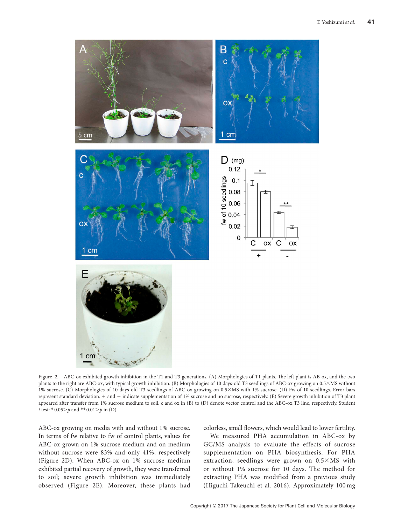

Figure 2. ABC-ox exhibited growth inhibition in the T1 and T3 generations. (A) Morphologies of T1 plants. The left plant is AB-ox, and the two plants to the right are ABC-ox, with typical growth inhibition. (B) Morphologies of 10 days-old T3 seedlings of ABC-ox growing on 0.5×MS without 1% sucrose. (C) Morphologies of 10 days-old T3 seedlings of ABC-ox growing on 0.5×MS with 1% sucrose. (D) Fw of 10 seedlings. Error bars represent standard deviation. + and − indicate supplementation of 1% sucrose and no sucrose, respectively. (E) Severe growth inhibition of T3 plant appeared after transfer from 1% sucrose medium to soil. c and ox in (B) to (D) denote vector control and the ABC-ox T3 line, respectively. Student *t* test: \*0.05>*p* and \*\* 0.01>*p* in (D).

ABC-ox growing on media with and without 1% sucrose. In terms of fw relative to fw of control plants, values for ABC-ox grown on 1% sucrose medium and on medium without sucrose were 83% and only 41%, respectively (Figure 2D). When ABC-ox on 1% sucrose medium exhibited partial recovery of growth, they were transferred to soil; severe growth inhibition was immediately observed (Figure 2E). Moreover, these plants had

colorless, small flowers, which would lead to lower fertility.

We measured PHA accumulation in ABC-ox by GC/MS analysis to evaluate the effects of sucrose supplementation on PHA biosynthesis. For PHA extraction, seedlings were grown on 0.5×MS with or without 1% sucrose for 10 days. The method for extracting PHA was modified from a previous study (Higuchi-Takeuchi et al. 2016). Approximately 100 mg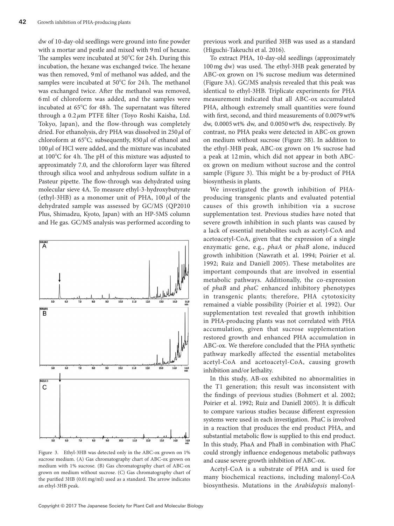dw of 10-day-old seedlings were ground into fine powder with a mortar and pestle and mixed with 9ml of hexane. The samples were incubated at 50°C for 24h. During this incubation, the hexane was exchanged twice. The hexane was then removed, 9ml of methanol was added, and the samples were incubated at 50°C for 24 h. The methanol was exchanged twice. After the methanol was removed, 6 ml of chloroform was added, and the samples were incubated at 65°C for 48h. The supernatant was filtered through a 0.2 *µ*m PTFE filter (Toyo Roshi Kaisha, Ltd. Tokyo, Japan), and the flow-through was completely dried. For ethanolysis, dry PHA was dissolved in 250*µ*l of chloroform at 65°C; subsequently, 850 *µ*l of ethanol and 100*µ*l of HCl were added, and the mixture was incubated at 100°C for 4h. The pH of this mixture was adjusted to approximately 7.0, and the chloroform layer was filtered through silica wool and anhydrous sodium sulfate in a Pasteur pipette. The flow-through was dehydrated using molecular sieve 4A. To measure ethyl-3-hydroxybutyrate (ethyl-3HB) as a monomer unit of PHA,  $100 \mu l$  of the dehydrated sample was assessed by GC/MS (QP2010 Plus, Shimadzu, Kyoto, Japan) with an HP-5MS column and He gas. GC/MS analysis was performed according to



Figure 3. Ethyl-3HB was detected only in the ABC-ox grown on 1% sucrose medium. (A) Gas chromatography chart of ABC-ox grown on medium with 1% sucrose. (B) Gas chromatography chart of ABC-ox grown on medium without sucrose. (C) Gas chromatography chart of the purified 3HB (0.01mg/ml) used as a standard. The arrow indicates an ethyl-3HB peak.

previous work and purified 3HB was used as a standard (Higuchi-Takeuchi et al. 2016).

To extract PHA, 10-day-old seedlings (approximately 100mg dw) was used. The ethyl-3HB peak generated by ABC-ox grown on 1% sucrose medium was determined (Figure 3A). GC/MS analysis revealed that this peak was identical to ethyl-3HB. Triplicate experiments for PHA measurement indicated that all ABC-ox accumulated PHA, although extremely small quantities were found with first, second, and third measurements of 0.0079wt% dw, 0.0005wt% dw, and 0.0050wt% dw, respectively. By contrast, no PHA peaks were detected in ABC-ox grown on medium without sucrose (Figure 3B). In addition to the ethyl-3HB peak, ABC-ox grown on 1% sucrose had a peak at 12 min, which did not appear in both ABCox grown on medium without sucrose and the control sample (Figure 3). This might be a by-product of PHA biosynthesis in plants.

We investigated the growth inhibition of PHAproducing transgenic plants and evaluated potential causes of this growth inhibition via a sucrose supplementation test. Previous studies have noted that severe growth inhibition in such plants was caused by a lack of essential metabolites such as acetyl-CoA and acetoacetyl-CoA, given that the expression of a single enzymatic gene, e.g., *phaA* or *phaB* alone, induced growth inhibition (Nawrath et al. 1994; Poirier et al. 1992; Ruiz and Daniell 2005). These metabolites are important compounds that are involved in essential metabolic pathways. Additionally, the co-expression of *phaB* and *phaC* enhanced inhibitory phenotypes in transgenic plants; therefore, PHA cytotoxicity remained a viable possibility (Poirier et al. 1992). Our supplementation test revealed that growth inhibition in PHA-producing plants was not correlated with PHA accumulation, given that sucrose supplementation restored growth and enhanced PHA accumulation in ABC-ox. We therefore concluded that the PHA synthetic pathway markedly affected the essential metabolites acetyl-CoA and acetoacetyl-CoA, causing growth inhibition and/or lethality.

In this study, AB-ox exhibited no abnormalities in the T1 generation; this result was inconsistent with the findings of previous studies (Bohmert et al. 2002; Poirier et al. 1992; Ruiz and Daniell 2005). It is difficult to compare various studies because different expression systems were used in each investigation. PhaC is involved in a reaction that produces the end product PHA, and substantial metabolic flow is supplied to this end product. In this study, PhaA and PhaB in combination with PhaC could strongly influence endogenous metabolic pathways and cause severe growth inhibition of ABC-ox.

Acetyl-CoA is a substrate of PHA and is used for many biochemical reactions, including malonyl-CoA biosynthesis. Mutations in the *Arabidopsis* malonyl